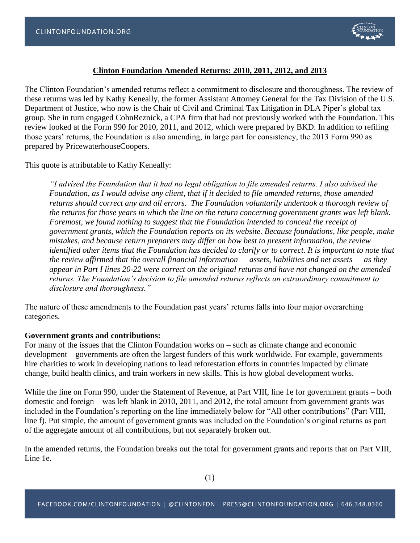

# **Clinton Foundation Amended Returns: 2010, 2011, 2012, and 2013**

The Clinton Foundation's amended returns reflect a commitment to disclosure and thoroughness. The review of these returns was led by Kathy Keneally, the former Assistant Attorney General for the Tax Division of the U.S. Department of Justice, who now is the Chair of Civil and Criminal Tax Litigation in DLA Piper's global tax group. She in turn engaged CohnReznick, a CPA firm that had not previously worked with the Foundation. This review looked at the Form 990 for 2010, 2011, and 2012, which were prepared by BKD. In addition to refiling those years' returns, the Foundation is also amending, in large part for consistency, the 2013 Form 990 as prepared by PricewaterhouseCoopers.

This quote is attributable to Kathy Keneally:

*"I advised the Foundation that it had no legal obligation to file amended returns. I also advised the Foundation, as I would advise any client, that if it decided to file amended returns, those amended returns should correct any and all errors. The Foundation voluntarily undertook a thorough review of the returns for those years in which the line on the return concerning government grants was left blank. Foremost, we found nothing to suggest that the Foundation intended to conceal the receipt of government grants, which the Foundation reports on its website. Because foundations, like people, make mistakes, and because return preparers may differ on how best to present information, the review identified other items that the Foundation has decided to clarify or to correct. It is important to note that the review affirmed that the overall financial information — assets, liabilities and net assets — as they appear in Part I lines 20-22 were correct on the original returns and have not changed on the amended returns. The Foundation's decision to file amended returns reflects an extraordinary commitment to disclosure and thoroughness."*

The nature of these amendments to the Foundation past years' returns falls into four major overarching categories.

#### **Government grants and contributions:**

For many of the issues that the Clinton Foundation works on – such as climate change and economic development – governments are often the largest funders of this work worldwide. For example, governments hire charities to work in developing nations to lead reforestation efforts in countries impacted by climate change, build health clinics, and train workers in new skills. This is how global development works.

While the line on Form 990, under the Statement of Revenue, at Part VIII, line 1e for government grants – both domestic and foreign – was left blank in 2010, 2011, and 2012, the total amount from government grants was included in the Foundation's reporting on the line immediately below for "All other contributions" (Part VIII, line f). Put simple, the amount of government grants was included on the Foundation's original returns as part of the aggregate amount of all contributions, but not separately broken out.

In the amended returns, the Foundation breaks out the total for government grants and reports that on Part VIII, Line 1e.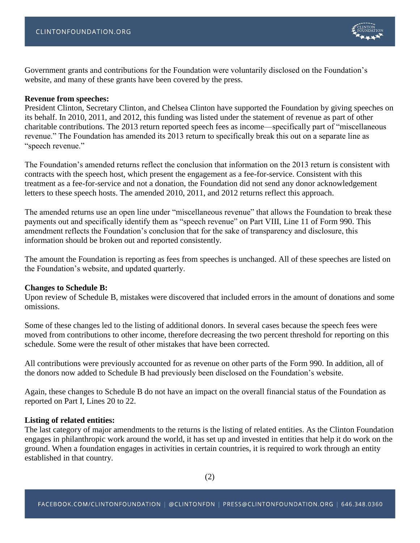Government grants and contributions for the Foundation were voluntarily disclosed on the Foundation's website, and many of these grants have been covered by the press.

# **Revenue from speeches:**

President Clinton, Secretary Clinton, and Chelsea Clinton have supported the Foundation by giving speeches on its behalf. In 2010, 2011, and 2012, this funding was listed under the statement of revenue as part of other charitable contributions. The 2013 return reported speech fees as income—specifically part of "miscellaneous revenue." The Foundation has amended its 2013 return to specifically break this out on a separate line as "speech revenue."

The Foundation's amended returns reflect the conclusion that information on the 2013 return is consistent with contracts with the speech host, which present the engagement as a fee-for-service. Consistent with this treatment as a fee-for-service and not a donation, the Foundation did not send any donor acknowledgement letters to these speech hosts. The amended 2010, 2011, and 2012 returns reflect this approach.

The amended returns use an open line under "miscellaneous revenue" that allows the Foundation to break these payments out and specifically identify them as "speech revenue" on Part VIII, Line 11 of Form 990. This amendment reflects the Foundation's conclusion that for the sake of transparency and disclosure, this information should be broken out and reported consistently.

The amount the Foundation is reporting as fees from speeches is unchanged. All of these speeches are listed on the Foundation's website, and updated quarterly.

## **Changes to Schedule B:**

Upon review of Schedule B, mistakes were discovered that included errors in the amount of donations and some omissions.

Some of these changes led to the listing of additional donors. In several cases because the speech fees were moved from contributions to other income, therefore decreasing the two percent threshold for reporting on this schedule. Some were the result of other mistakes that have been corrected.

All contributions were previously accounted for as revenue on other parts of the Form 990. In addition, all of the donors now added to Schedule B had previously been disclosed on the Foundation's website.

Again, these changes to Schedule B do not have an impact on the overall financial status of the Foundation as reported on Part I, Lines 20 to 22.

## **Listing of related entities:**

The last category of major amendments to the returns is the listing of related entities. As the Clinton Foundation engages in philanthropic work around the world, it has set up and invested in entities that help it do work on the ground. When a foundation engages in activities in certain countries, it is required to work through an entity established in that country.

(2)